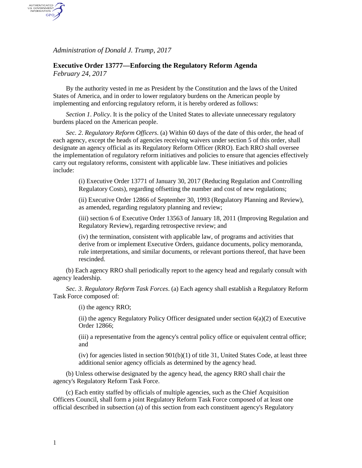*Administration of Donald J. Trump, 2017*

AUTHENTICATED<br>U.S. GOVERNMENT<br>INFORMATION GPO

## **Executive Order 13777—Enforcing the Regulatory Reform Agenda** *February 24, 2017*

By the authority vested in me as President by the Constitution and the laws of the United States of America, and in order to lower regulatory burdens on the American people by implementing and enforcing regulatory reform, it is hereby ordered as follows:

*Section 1*. *Policy*. It is the policy of the United States to alleviate unnecessary regulatory burdens placed on the American people.

*Sec. 2*. *Regulatory Reform Officers*. (a) Within 60 days of the date of this order, the head of each agency, except the heads of agencies receiving waivers under section 5 of this order, shall designate an agency official as its Regulatory Reform Officer (RRO). Each RRO shall oversee the implementation of regulatory reform initiatives and policies to ensure that agencies effectively carry out regulatory reforms, consistent with applicable law. These initiatives and policies include:

(i) Executive Order 13771 of January 30, 2017 (Reducing Regulation and Controlling Regulatory Costs), regarding offsetting the number and cost of new regulations;

(ii) Executive Order 12866 of September 30, 1993 (Regulatory Planning and Review), as amended, regarding regulatory planning and review;

(iii) section 6 of Executive Order 13563 of January 18, 2011 (Improving Regulation and Regulatory Review), regarding retrospective review; and

(iv) the termination, consistent with applicable law, of programs and activities that derive from or implement Executive Orders, guidance documents, policy memoranda, rule interpretations, and similar documents, or relevant portions thereof, that have been rescinded.

(b) Each agency RRO shall periodically report to the agency head and regularly consult with agency leadership.

*Sec. 3*. *Regulatory Reform Task Forces*. (a) Each agency shall establish a Regulatory Reform Task Force composed of:

(i) the agency RRO;

(ii) the agency Regulatory Policy Officer designated under section  $6(a)(2)$  of Executive Order 12866;

(iii) a representative from the agency's central policy office or equivalent central office; and

(iv) for agencies listed in section  $901(b)(1)$  of title 31, United States Code, at least three additional senior agency officials as determined by the agency head.

(b) Unless otherwise designated by the agency head, the agency RRO shall chair the agency's Regulatory Reform Task Force.

(c) Each entity staffed by officials of multiple agencies, such as the Chief Acquisition Officers Council, shall form a joint Regulatory Reform Task Force composed of at least one official described in subsection (a) of this section from each constituent agency's Regulatory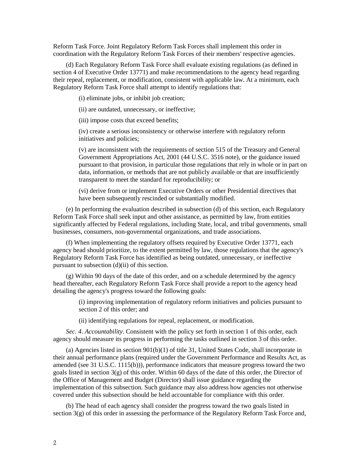Reform Task Force. Joint Regulatory Reform Task Forces shall implement this order in coordination with the Regulatory Reform Task Forces of their members' respective agencies.

(d) Each Regulatory Reform Task Force shall evaluate existing regulations (as defined in section 4 of Executive Order 13771) and make recommendations to the agency head regarding their repeal, replacement, or modification, consistent with applicable law. At a minimum, each Regulatory Reform Task Force shall attempt to identify regulations that:

(i) eliminate jobs, or inhibit job creation;

(ii) are outdated, unnecessary, or ineffective;

(iii) impose costs that exceed benefits;

(iv) create a serious inconsistency or otherwise interfere with regulatory reform initiatives and policies;

(v) are inconsistent with the requirements of section 515 of the Treasury and General Government Appropriations Act, 2001 (44 U.S.C. 3516 note), or the guidance issued pursuant to that provision, in particular those regulations that rely in whole or in part on data, information, or methods that are not publicly available or that are insufficiently transparent to meet the standard for reproducibility; or

(vi) derive from or implement Executive Orders or other Presidential directives that have been subsequently rescinded or substantially modified.

(e) In performing the evaluation described in subsection (d) of this section, each Regulatory Reform Task Force shall seek input and other assistance, as permitted by law, from entities significantly affected by Federal regulations, including State, local, and tribal governments, small businesses, consumers, non-governmental organizations, and trade associations.

(f) When implementing the regulatory offsets required by Executive Order 13771, each agency head should prioritize, to the extent permitted by law, those regulations that the agency's Regulatory Reform Task Force has identified as being outdated, unnecessary, or ineffective pursuant to subsection (d)(ii) of this section.

(g) Within 90 days of the date of this order, and on a schedule determined by the agency head thereafter, each Regulatory Reform Task Force shall provide a report to the agency head detailing the agency's progress toward the following goals:

> (i) improving implementation of regulatory reform initiatives and policies pursuant to section 2 of this order; and

(ii) identifying regulations for repeal, replacement, or modification.

*Sec. 4*. *Accountability*. Consistent with the policy set forth in section 1 of this order, each agency should measure its progress in performing the tasks outlined in section 3 of this order.

(a) Agencies listed in section 901(b)(1) of title 31, United States Code, shall incorporate in their annual performance plans (required under the Government Performance and Results Act, as amended (see 31 U.S.C. 1115(b))), performance indicators that measure progress toward the two goals listed in section  $3(g)$  of this order. Within 60 days of the date of this order, the Director of the Office of Management and Budget (Director) shall issue guidance regarding the implementation of this subsection. Such guidance may also address how agencies not otherwise covered under this subsection should be held accountable for compliance with this order.

(b) The head of each agency shall consider the progress toward the two goals listed in section 3(g) of this order in assessing the performance of the Regulatory Reform Task Force and,